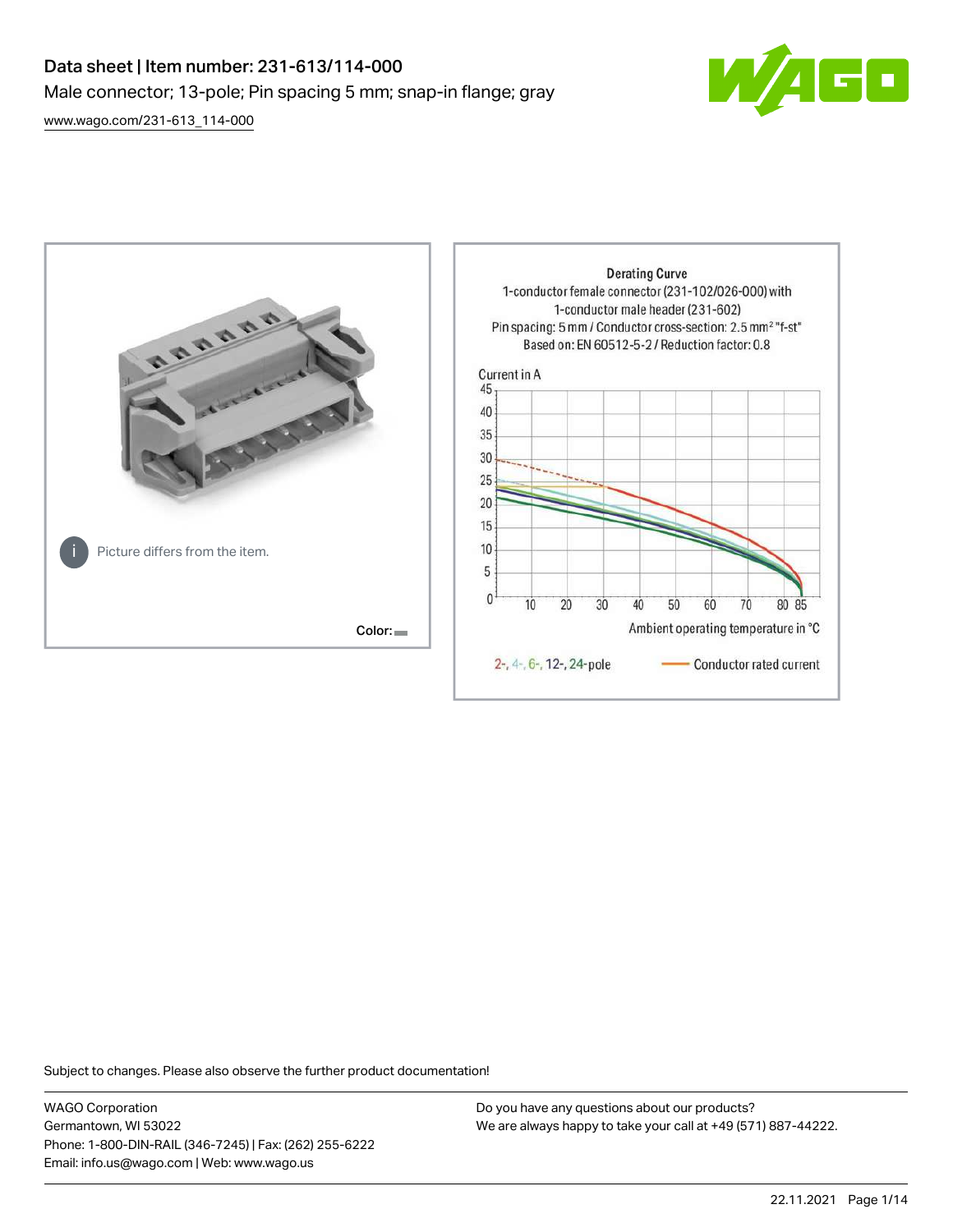# Data sheet | Item number: 231-613/114-000 Male connector; 13-pole; Pin spacing 5 mm; snap-in flange; gray

 $\blacksquare$ 

[www.wago.com/231-613\\_114-000](http://www.wago.com/231-613_114-000)



Subject to changes. Please also observe the further product documentation!

WAGO Corporation Germantown, WI 53022 Phone: 1-800-DIN-RAIL (346-7245) | Fax: (262) 255-6222 Email: info.us@wago.com | Web: www.wago.us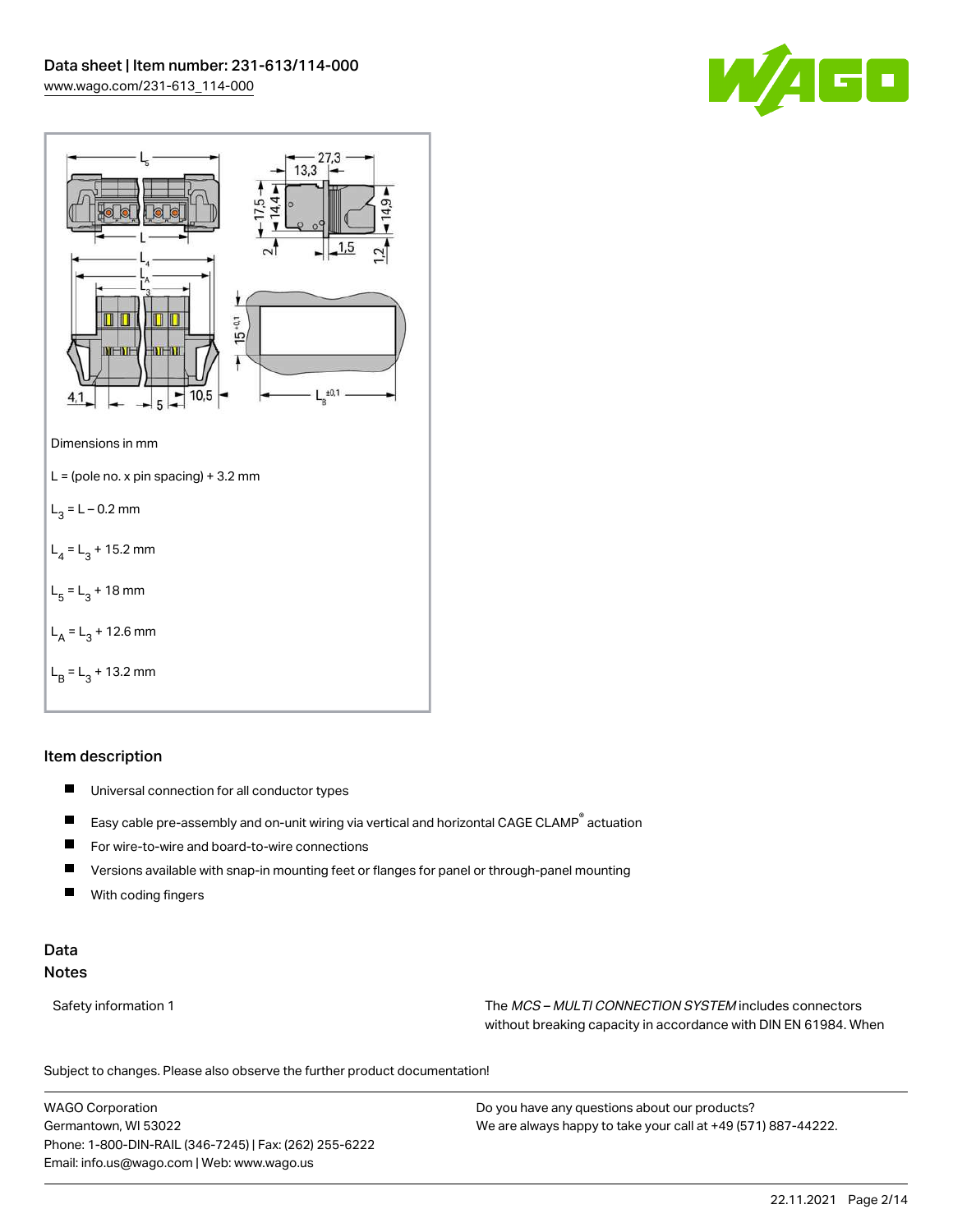



## Item description

- $\blacksquare$ Universal connection for all conductor types
- $\blacksquare$ Easy cable pre-assembly and on-unit wiring via vertical and horizontal CAGE CLAMP® actuation
- $\blacksquare$ For wire-to-wire and board-to-wire connections
- $\blacksquare$ Versions available with snap-in mounting feet or flanges for panel or through-panel mounting
- П With coding fingers

## Data Notes

Safety information 1 The MCS – MULTI CONNECTION SYSTEM includes connectors without breaking capacity in accordance with DIN EN 61984. When

Subject to changes. Please also observe the further product documentation!  $\mathbf{u}$ 

WAGO Corporation Germantown, WI 53022 Phone: 1-800-DIN-RAIL (346-7245) | Fax: (262) 255-6222 Email: info.us@wago.com | Web: www.wago.us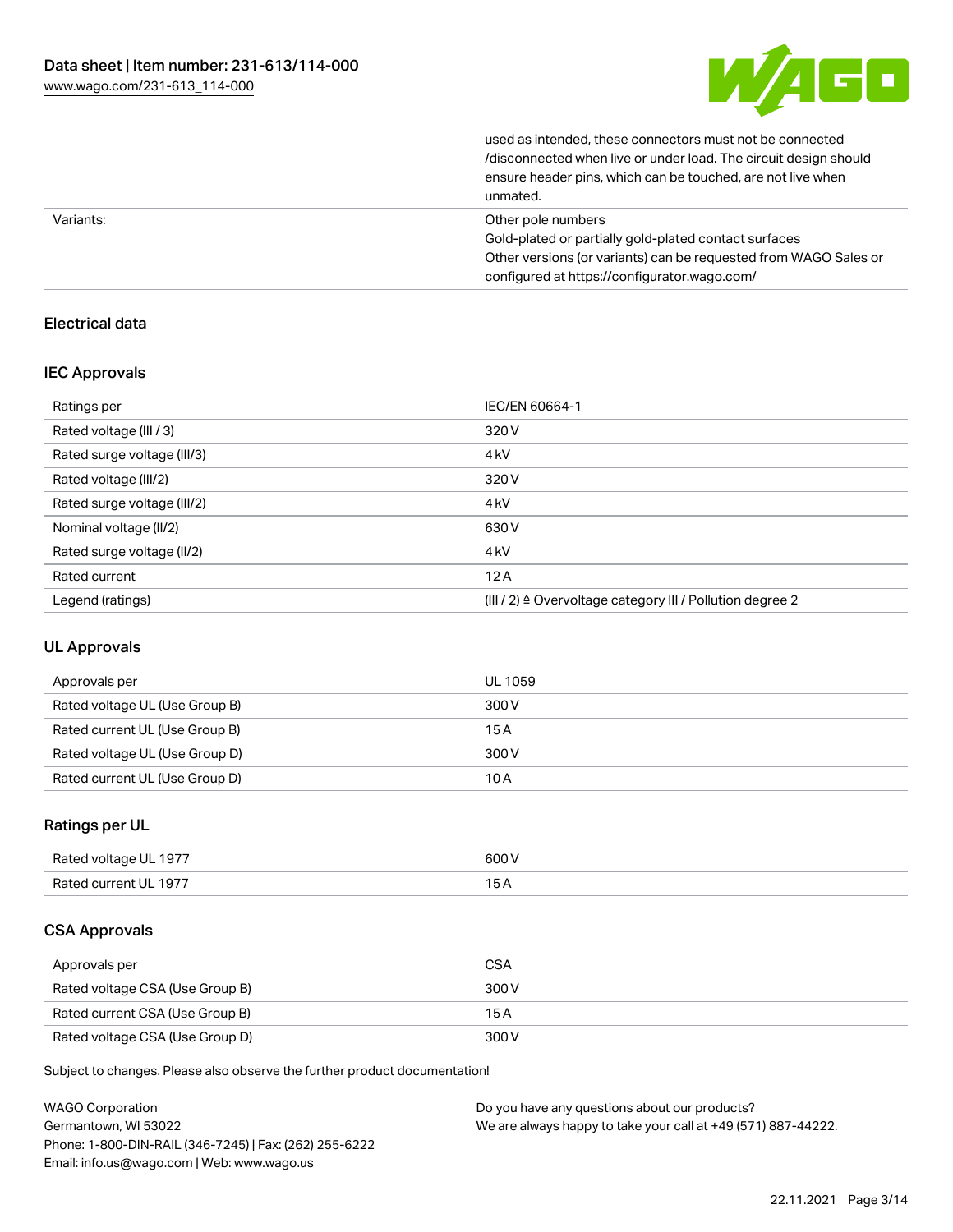

| unmated.                                                         |
|------------------------------------------------------------------|
| ensure header pins, which can be touched, are not live when      |
| /disconnected when live or under load. The circuit design should |
| used as intended, these connectors must not be connected         |

| Variants: | Other pole numbers                                               |
|-----------|------------------------------------------------------------------|
|           | Gold-plated or partially gold-plated contact surfaces            |
|           | Other versions (or variants) can be requested from WAGO Sales or |
|           | configured at https://configurator.wago.com/                     |

## Electrical data

## IEC Approvals

| Ratings per                 | IEC/EN 60664-1                                                       |
|-----------------------------|----------------------------------------------------------------------|
| Rated voltage (III / 3)     | 320 V                                                                |
| Rated surge voltage (III/3) | 4 <sub>kV</sub>                                                      |
| Rated voltage (III/2)       | 320 V                                                                |
| Rated surge voltage (III/2) | 4 <sub>k</sub> V                                                     |
| Nominal voltage (II/2)      | 630 V                                                                |
| Rated surge voltage (II/2)  | 4 <sub>k</sub> V                                                     |
| Rated current               | 12A                                                                  |
| Legend (ratings)            | (III / 2) $\triangleq$ Overvoltage category III / Pollution degree 2 |

## UL Approvals

| Approvals per                  | UL 1059 |
|--------------------------------|---------|
| Rated voltage UL (Use Group B) | 300 V   |
| Rated current UL (Use Group B) | 15A     |
| Rated voltage UL (Use Group D) | 300 V   |
| Rated current UL (Use Group D) | 10 A    |

## Ratings per UL

| Rated voltage UL 1977 | 600 V |
|-----------------------|-------|
| Rated current UL 1977 |       |

## CSA Approvals

| Approvals per                   | <b>CSA</b> |
|---------------------------------|------------|
| Rated voltage CSA (Use Group B) | 300 V      |
| Rated current CSA (Use Group B) | 15 A       |
| Rated voltage CSA (Use Group D) | 300 V      |

Subject to changes. Please also observe the further product documentation!

| <b>WAGO Corporation</b>                                | Do you have any questions about our products?                 |  |
|--------------------------------------------------------|---------------------------------------------------------------|--|
| Germantown, WI 53022                                   | We are always happy to take your call at +49 (571) 887-44222. |  |
| Phone: 1-800-DIN-RAIL (346-7245)   Fax: (262) 255-6222 |                                                               |  |
| Email: info.us@wago.com   Web: www.wago.us             |                                                               |  |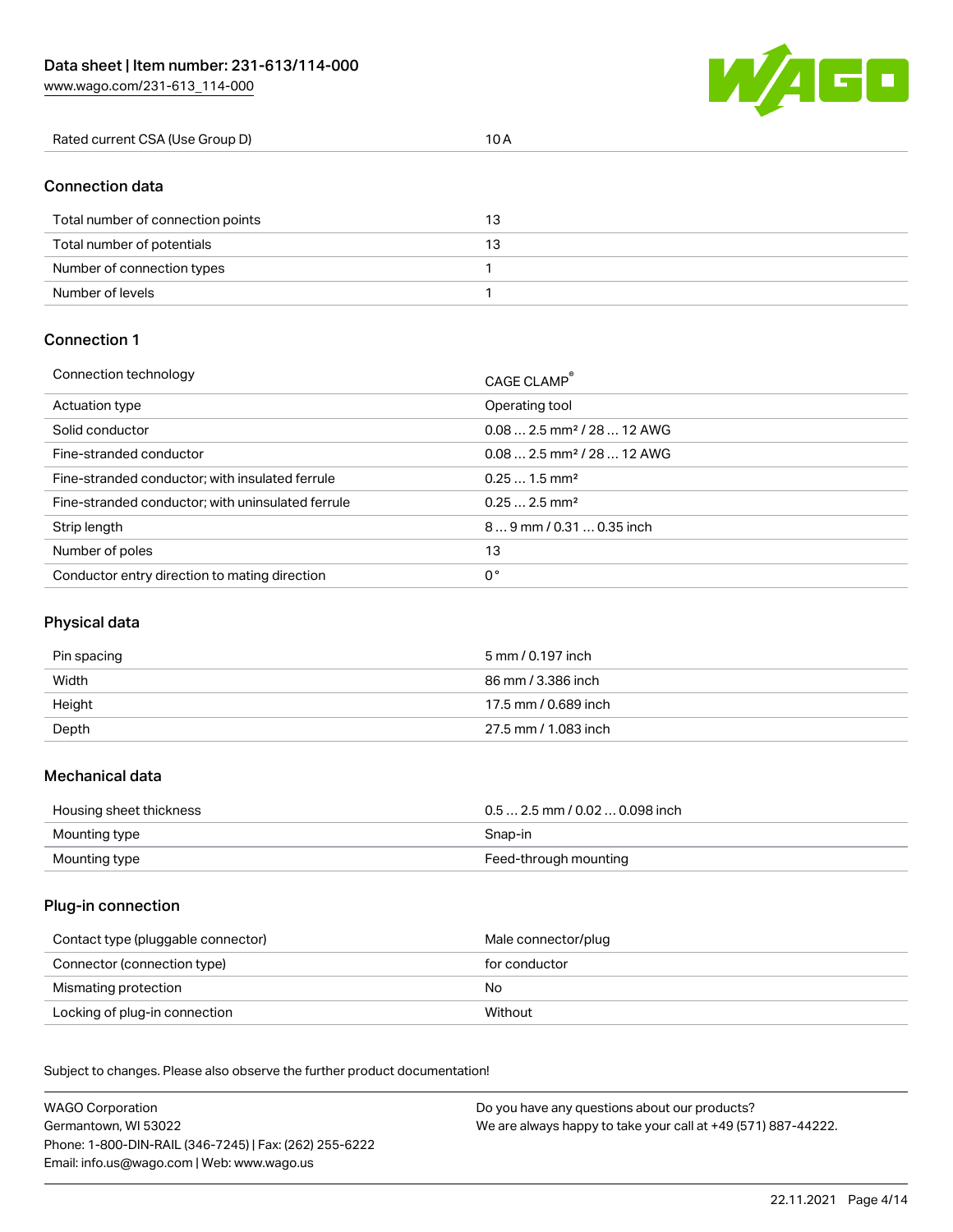W/4GC

# Connection data

| Total number of connection points | 13 |
|-----------------------------------|----|
| Total number of potentials        |    |
| Number of connection types        |    |
| Number of levels                  |    |

#### Connection 1

| Connection technology                             | CAGE CLAMP®                             |
|---------------------------------------------------|-----------------------------------------|
| Actuation type                                    | Operating tool                          |
| Solid conductor                                   | $0.082.5$ mm <sup>2</sup> / 28  12 AWG  |
| Fine-stranded conductor                           | $0.08$ 2.5 mm <sup>2</sup> / 28  12 AWG |
| Fine-stranded conductor; with insulated ferrule   | $0.251.5$ mm <sup>2</sup>               |
| Fine-stranded conductor; with uninsulated ferrule | $0.252.5$ mm <sup>2</sup>               |
| Strip length                                      | $89$ mm / 0.31  0.35 inch               |
| Number of poles                                   | 13                                      |
| Conductor entry direction to mating direction     | 0°                                      |

## Physical data

| Pin spacing | 5 mm / 0.197 inch    |
|-------------|----------------------|
| Width       | 86 mm / 3.386 inch   |
| Height      | 17.5 mm / 0.689 inch |
| Depth       | 27.5 mm / 1.083 inch |

#### Mechanical data

| Housing sheet thickness | $0.5$ 2.5 mm / 0.02  0.098 inch |
|-------------------------|---------------------------------|
| Mounting type           | Snap-in                         |
| Mounting type           | Feed-through mounting           |

#### Plug-in connection

| Contact type (pluggable connector) | Male connector/plug |
|------------------------------------|---------------------|
| Connector (connection type)        | for conductor       |
| Mismating protection               | No.                 |
| Locking of plug-in connection      | Without             |

Subject to changes. Please also observe the further product documentation! Material data

| <b>WAGO Corporation</b>                                | Do you have any questions about our products?                 |
|--------------------------------------------------------|---------------------------------------------------------------|
| Germantown, WI 53022                                   | We are always happy to take your call at +49 (571) 887-44222. |
| Phone: 1-800-DIN-RAIL (346-7245)   Fax: (262) 255-6222 |                                                               |
| Email: info.us@wago.com   Web: www.wago.us             |                                                               |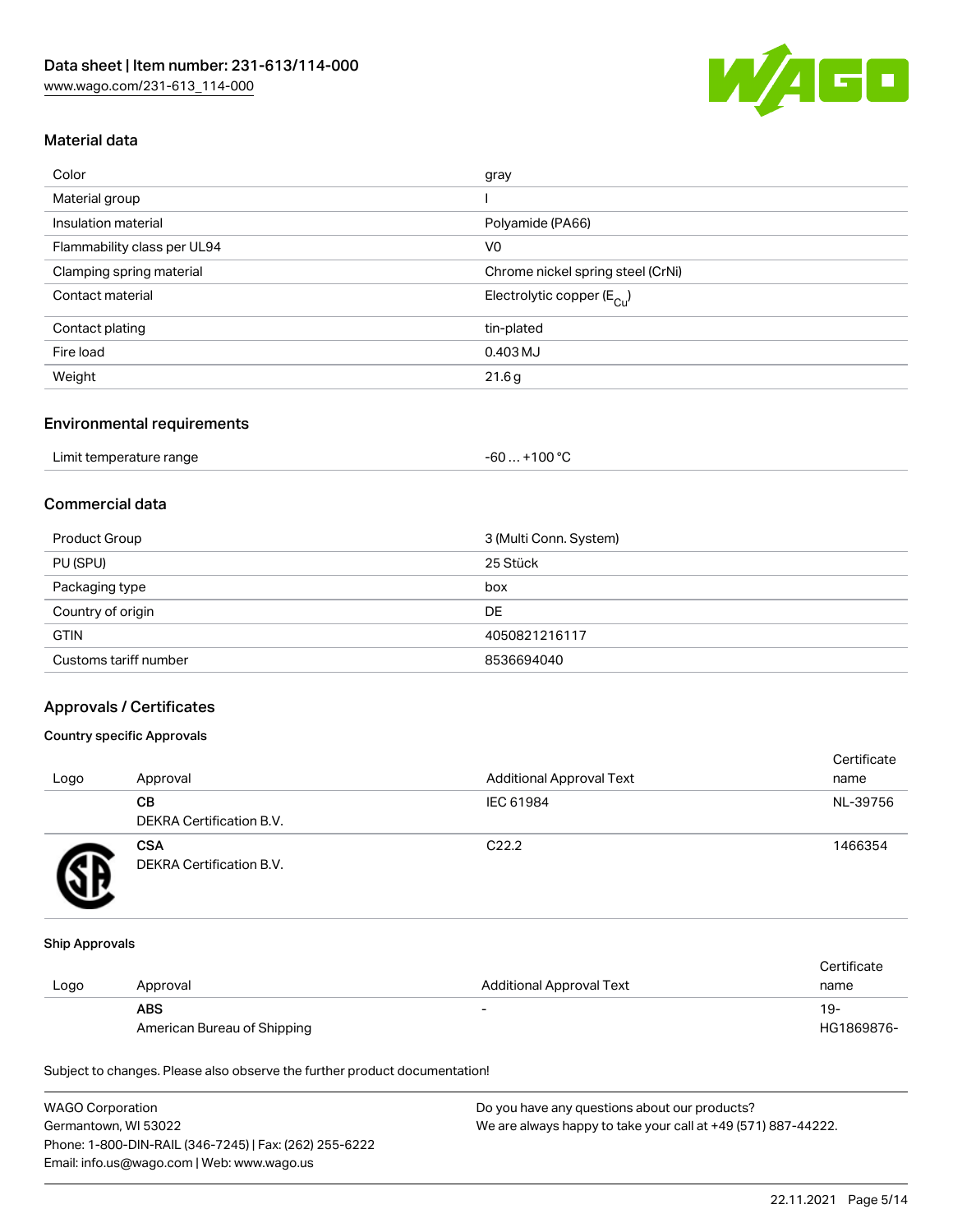

## Material data

| Color                       | gray                                  |
|-----------------------------|---------------------------------------|
| Material group              |                                       |
| Insulation material         | Polyamide (PA66)                      |
| Flammability class per UL94 | V <sub>0</sub>                        |
| Clamping spring material    | Chrome nickel spring steel (CrNi)     |
| Contact material            | Electrolytic copper $(E_{\text{Cl}})$ |
| Contact plating             | tin-plated                            |
| Fire load                   | 0.403 MJ                              |
| Weight                      | 21.6g                                 |
|                             |                                       |

#### Environmental requirements

| Limit temperature range | . +100 °C<br>$-60$ |
|-------------------------|--------------------|
|-------------------------|--------------------|

# Commercial data

| Product Group         | 3 (Multi Conn. System) |
|-----------------------|------------------------|
| PU (SPU)              | 25 Stück               |
| Packaging type        | box                    |
| Country of origin     | DE                     |
| <b>GTIN</b>           | 4050821216117          |
| Customs tariff number | 8536694040             |

## Approvals / Certificates

## Country specific Approvals

| Logo | Approval                               | <b>Additional Approval Text</b> | Certificate<br>name |
|------|----------------------------------------|---------------------------------|---------------------|
|      | CВ<br><b>DEKRA Certification B.V.</b>  | IEC 61984                       | NL-39756            |
|      | <b>CSA</b><br>DEKRA Certification B.V. | C <sub>22.2</sub>               | 1466354             |

#### Ship Approvals

|      |                             |                                 | Certificate |
|------|-----------------------------|---------------------------------|-------------|
| Logo | Approval                    | <b>Additional Approval Text</b> | name        |
|      | <b>ABS</b>                  | -                               | $19-$       |
|      | American Bureau of Shipping |                                 | HG1869876-  |

Subject to changes. Please also observe the further product documentation!

| <b>WAGO Corporation</b>                                | Do you have any questions about our products?                 |
|--------------------------------------------------------|---------------------------------------------------------------|
| Germantown, WI 53022                                   | We are always happy to take your call at +49 (571) 887-44222. |
| Phone: 1-800-DIN-RAIL (346-7245)   Fax: (262) 255-6222 |                                                               |
| Email: info.us@wago.com   Web: www.wago.us             |                                                               |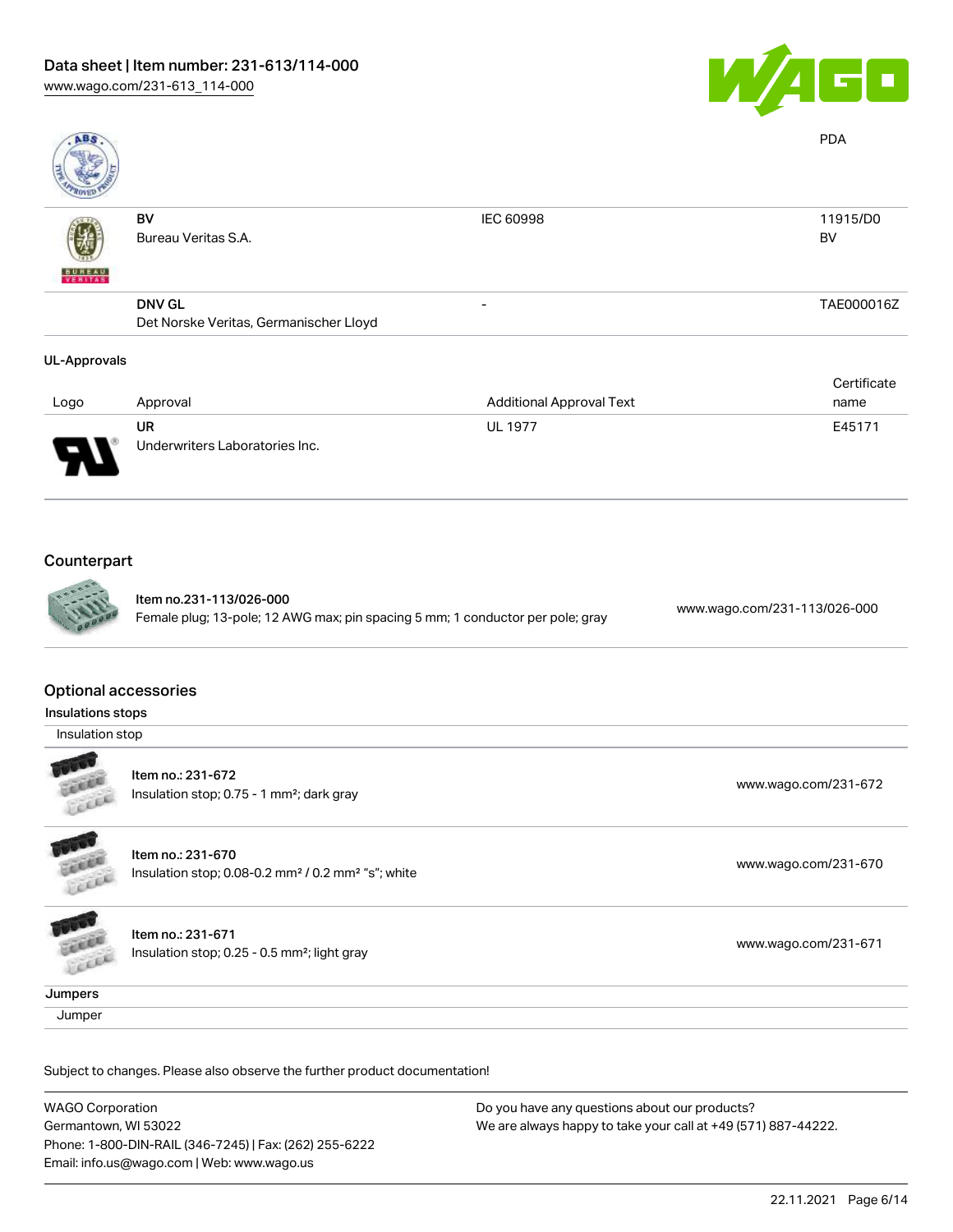

| <b>ABS</b>               |                                                         |                                 | <b>PDA</b>            |
|--------------------------|---------------------------------------------------------|---------------------------------|-----------------------|
| <b>BUNEAU</b><br>VERITAS | BV<br>Bureau Veritas S.A.                               | IEC 60998                       | 11915/D0<br><b>BV</b> |
|                          | <b>DNV GL</b><br>Det Norske Veritas, Germanischer Lloyd | $\overline{\phantom{0}}$        | TAE000016Z            |
| <b>UL-Approvals</b>      |                                                         |                                 |                       |
| Logo                     | Approval                                                | <b>Additional Approval Text</b> | Certificate<br>name   |
|                          | <b>UR</b><br>Underwriters Laboratories Inc.             | <b>UL 1977</b>                  | E45171                |
|                          |                                                         |                                 |                       |

## **Counterpart**



Item no.231-113/026-000 Female plug; 13-pole; 12 AWG max; pin spacing 5 mm; 1 conductor per pole; gray [www.wago.com/231-113/026-000](https://www.wago.com/231-113/026-000)

#### Optional accessories

Insulations stops

Insulation stop



Item no.: 231-672 Insulation stop; 0.75 - 1 mm²; dark gray [www.wago.com/231-672](http://www.wago.com/231-672)



**CALLED** 

Item no.: 231-670 Insulation stop; 0.08-0.2 mm<sup>2</sup>/0.2 mm<sup>2</sup> "s"; white [www.wago.com/231-670](http://www.wago.com/231-670) www.wago.com/231-670

Item no.: 231-671 Insulation stop; 0.25 - 0.5 mm<sup>2</sup>; light gray [www.wago.com/231-671](http://www.wago.com/231-671) www.wago.com/231-671 Cococo

**Jumpers** 

**Jumper** 

Subject to changes. Please also observe the further product documentation!

WAGO Corporation Germantown, WI 53022 Phone: 1-800-DIN-RAIL (346-7245) | Fax: (262) 255-6222 Email: info.us@wago.com | Web: www.wago.us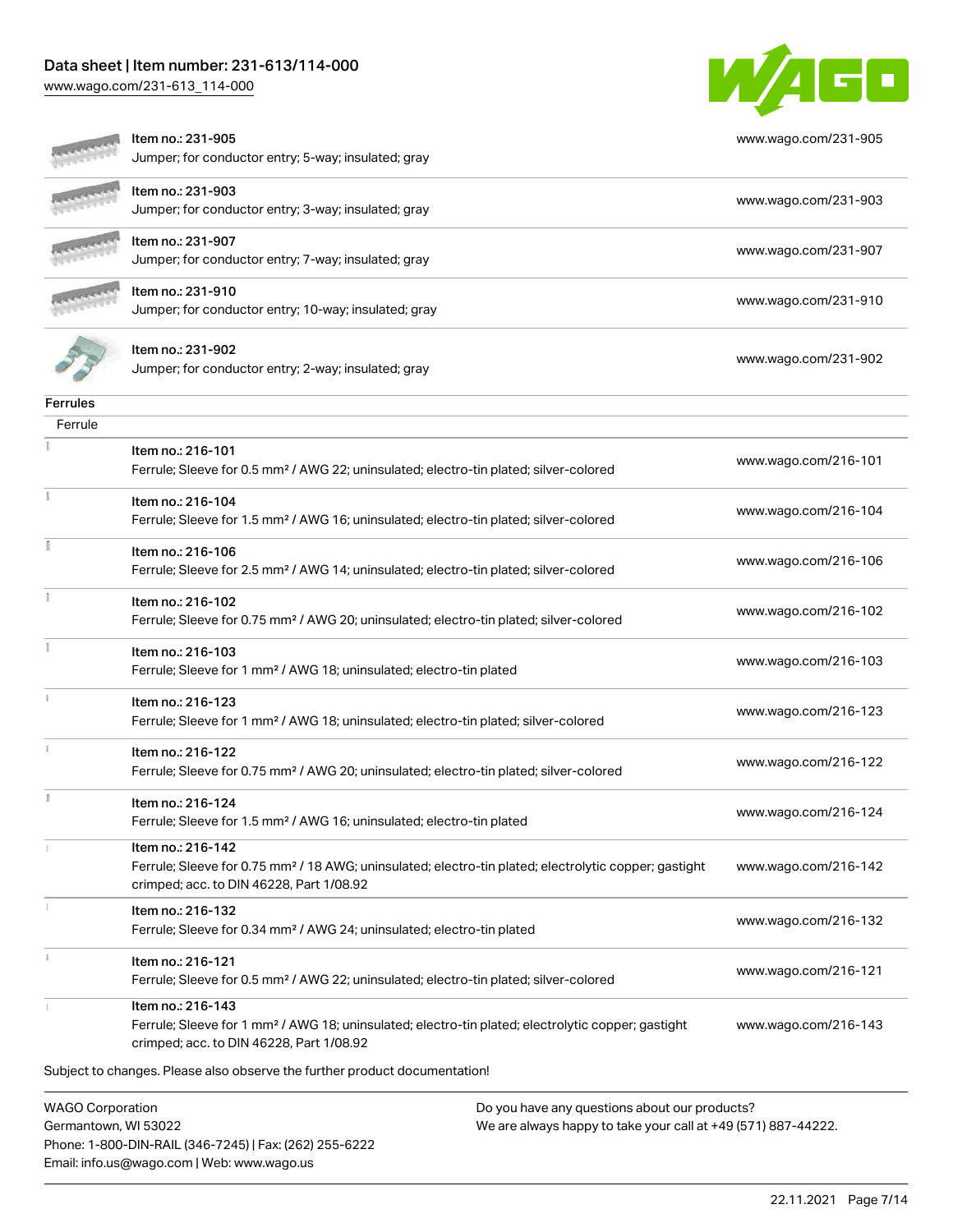Phone: 1-800-DIN-RAIL (346-7245) | Fax: (262) 255-6222

Email: info.us@wago.com | Web: www.wago.us

[www.wago.com/231-613\\_114-000](http://www.wago.com/231-613_114-000)



|                                                 | Item no.: 231-905<br>Jumper; for conductor entry; 5-way; insulated; gray                                                                                                           |                                                                                                                | www.wago.com/231-905 |
|-------------------------------------------------|------------------------------------------------------------------------------------------------------------------------------------------------------------------------------------|----------------------------------------------------------------------------------------------------------------|----------------------|
|                                                 | ltem no.: 231-903<br>Jumper; for conductor entry; 3-way; insulated; gray                                                                                                           |                                                                                                                | www.wago.com/231-903 |
|                                                 | Item no.: 231-907<br>Jumper; for conductor entry; 7-way; insulated; gray                                                                                                           |                                                                                                                | www.wago.com/231-907 |
|                                                 | Item no.: 231-910<br>Jumper; for conductor entry; 10-way; insulated; gray                                                                                                          |                                                                                                                | www.wago.com/231-910 |
|                                                 | Item no.: 231-902<br>Jumper; for conductor entry; 2-way; insulated; gray                                                                                                           |                                                                                                                | www.wago.com/231-902 |
| Ferrules                                        |                                                                                                                                                                                    |                                                                                                                |                      |
| Ferrule                                         |                                                                                                                                                                                    |                                                                                                                |                      |
|                                                 | Item no.: 216-101<br>Ferrule; Sleeve for 0.5 mm <sup>2</sup> / AWG 22; uninsulated; electro-tin plated; silver-colored                                                             |                                                                                                                | www.wago.com/216-101 |
|                                                 | Item no.: 216-104<br>Ferrule; Sleeve for 1.5 mm <sup>2</sup> / AWG 16; uninsulated; electro-tin plated; silver-colored                                                             |                                                                                                                | www.wago.com/216-104 |
|                                                 | Item no.: 216-106<br>Ferrule; Sleeve for 2.5 mm <sup>2</sup> / AWG 14; uninsulated; electro-tin plated; silver-colored                                                             |                                                                                                                | www.wago.com/216-106 |
|                                                 | Item no.: 216-102<br>Ferrule; Sleeve for 0.75 mm <sup>2</sup> / AWG 20; uninsulated; electro-tin plated; silver-colored                                                            |                                                                                                                | www.wago.com/216-102 |
|                                                 | Item no.: 216-103<br>Ferrule; Sleeve for 1 mm <sup>2</sup> / AWG 18; uninsulated; electro-tin plated                                                                               |                                                                                                                | www.wago.com/216-103 |
|                                                 | Item no.: 216-123<br>Ferrule; Sleeve for 1 mm <sup>2</sup> / AWG 18; uninsulated; electro-tin plated; silver-colored                                                               |                                                                                                                | www.wago.com/216-123 |
|                                                 | Item no.: 216-122<br>Ferrule; Sleeve for 0.75 mm <sup>2</sup> / AWG 20; uninsulated; electro-tin plated; silver-colored                                                            |                                                                                                                | www.wago.com/216-122 |
|                                                 | Item no.: 216-124<br>Ferrule; Sleeve for 1.5 mm <sup>2</sup> / AWG 16; uninsulated; electro-tin plated                                                                             |                                                                                                                | www.wago.com/216-124 |
|                                                 | Item no.: 216-142<br>Ferrule; Sleeve for 0.75 mm <sup>2</sup> / 18 AWG; uninsulated; electro-tin plated; electrolytic copper; gastight<br>crimped; acc. to DIN 46228, Part 1/08.92 |                                                                                                                | www.wago.com/216-142 |
|                                                 | Item no.: 216-132<br>Ferrule; Sleeve for 0.34 mm <sup>2</sup> / AWG 24; uninsulated; electro-tin plated                                                                            |                                                                                                                | www.wago.com/216-132 |
|                                                 | Item no.: 216-121<br>Ferrule; Sleeve for 0.5 mm <sup>2</sup> / AWG 22; uninsulated; electro-tin plated; silver-colored                                                             |                                                                                                                | www.wago.com/216-121 |
|                                                 | Item no.: 216-143<br>Ferrule; Sleeve for 1 mm <sup>2</sup> / AWG 18; uninsulated; electro-tin plated; electrolytic copper; gastight<br>crimped; acc. to DIN 46228, Part 1/08.92    |                                                                                                                | www.wago.com/216-143 |
|                                                 | Subject to changes. Please also observe the further product documentation!                                                                                                         |                                                                                                                |                      |
| <b>WAGO Corporation</b><br>Germantown, WI 53022 |                                                                                                                                                                                    | Do you have any questions about our products?<br>We are always happy to take your call at +49 (571) 887-44222. |                      |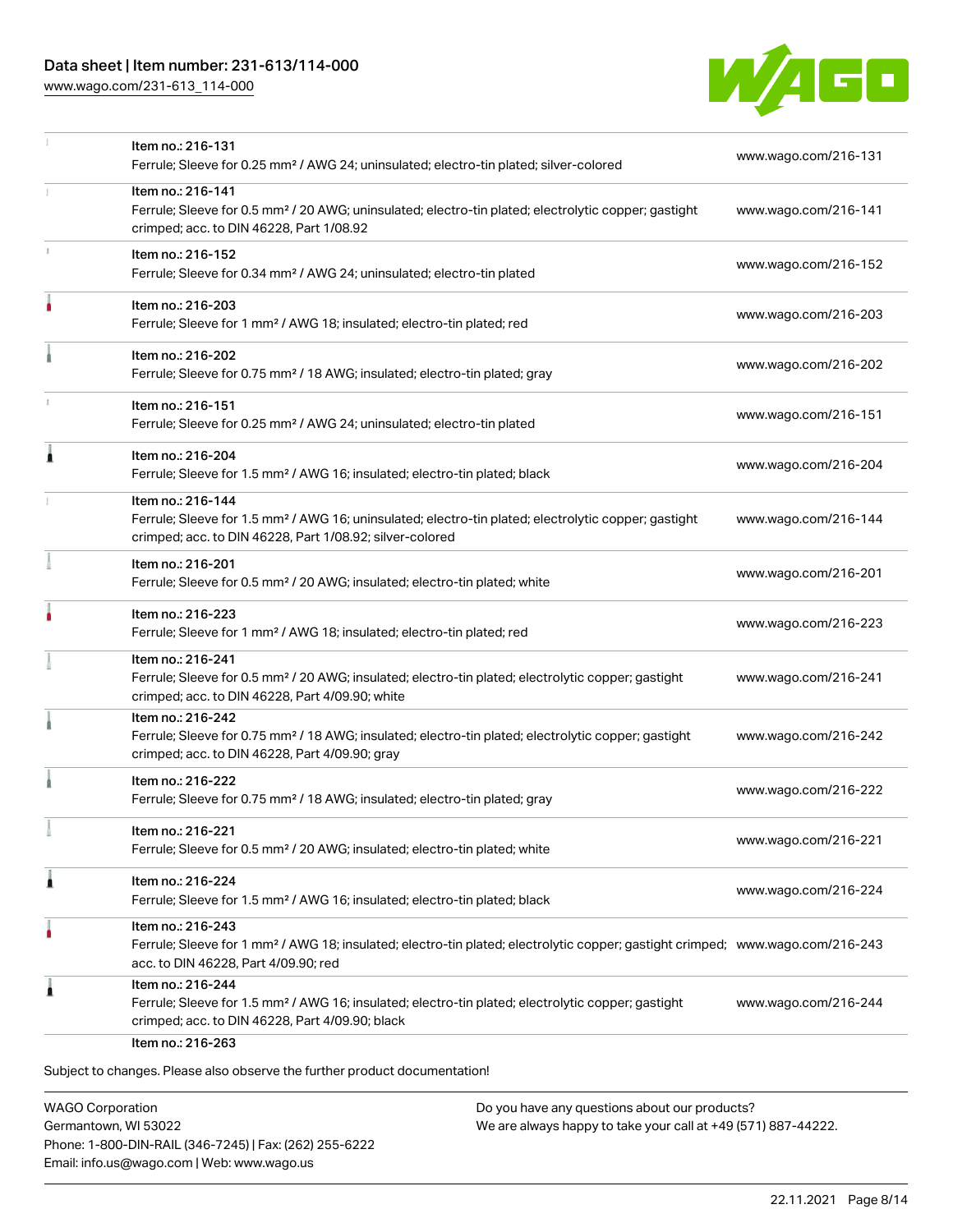[www.wago.com/231-613\\_114-000](http://www.wago.com/231-613_114-000)



|    | Item no.: 216-131<br>Ferrule; Sleeve for 0.25 mm <sup>2</sup> / AWG 24; uninsulated; electro-tin plated; silver-colored                                                                                 | www.wago.com/216-131 |
|----|---------------------------------------------------------------------------------------------------------------------------------------------------------------------------------------------------------|----------------------|
|    | Item no.: 216-141<br>Ferrule; Sleeve for 0.5 mm <sup>2</sup> / 20 AWG; uninsulated; electro-tin plated; electrolytic copper; gastight<br>crimped; acc. to DIN 46228, Part 1/08.92                       | www.wago.com/216-141 |
| I. | Item no.: 216-152<br>Ferrule; Sleeve for 0.34 mm <sup>2</sup> / AWG 24; uninsulated; electro-tin plated                                                                                                 | www.wago.com/216-152 |
|    | Item no.: 216-203<br>Ferrule; Sleeve for 1 mm <sup>2</sup> / AWG 18; insulated; electro-tin plated; red                                                                                                 | www.wago.com/216-203 |
|    | Item no.: 216-202<br>Ferrule; Sleeve for 0.75 mm <sup>2</sup> / 18 AWG; insulated; electro-tin plated; gray                                                                                             | www.wago.com/216-202 |
|    | Item no.: 216-151<br>Ferrule; Sleeve for 0.25 mm <sup>2</sup> / AWG 24; uninsulated; electro-tin plated                                                                                                 | www.wago.com/216-151 |
| Â  | Item no.: 216-204<br>Ferrule; Sleeve for 1.5 mm <sup>2</sup> / AWG 16; insulated; electro-tin plated; black                                                                                             | www.wago.com/216-204 |
|    | Item no.: 216-144<br>Ferrule; Sleeve for 1.5 mm <sup>2</sup> / AWG 16; uninsulated; electro-tin plated; electrolytic copper; gastight<br>crimped; acc. to DIN 46228, Part 1/08.92; silver-colored       | www.wago.com/216-144 |
|    | Item no.: 216-201<br>Ferrule; Sleeve for 0.5 mm <sup>2</sup> / 20 AWG; insulated; electro-tin plated; white                                                                                             | www.wago.com/216-201 |
|    | Item no.: 216-223<br>Ferrule; Sleeve for 1 mm <sup>2</sup> / AWG 18; insulated; electro-tin plated; red                                                                                                 | www.wago.com/216-223 |
|    | Item no.: 216-241<br>Ferrule; Sleeve for 0.5 mm <sup>2</sup> / 20 AWG; insulated; electro-tin plated; electrolytic copper; gastight<br>crimped; acc. to DIN 46228, Part 4/09.90; white                  | www.wago.com/216-241 |
|    | Item no.: 216-242<br>Ferrule; Sleeve for 0.75 mm <sup>2</sup> / 18 AWG; insulated; electro-tin plated; electrolytic copper; gastight<br>crimped; acc. to DIN 46228, Part 4/09.90; gray                  | www.wago.com/216-242 |
|    | Item no.: 216-222<br>Ferrule; Sleeve for 0.75 mm <sup>2</sup> / 18 AWG; insulated; electro-tin plated; gray                                                                                             | www.wago.com/216-222 |
|    | Item no.: 216-221<br>Ferrule; Sleeve for 0.5 mm <sup>2</sup> / 20 AWG; insulated; electro-tin plated; white                                                                                             | www.wago.com/216-221 |
| 1  | Item no.: 216-224<br>Ferrule; Sleeve for 1.5 mm <sup>2</sup> / AWG 16; insulated; electro-tin plated; black                                                                                             | www.wago.com/216-224 |
| ô  | Item no.: 216-243<br>Ferrule; Sleeve for 1 mm <sup>2</sup> / AWG 18; insulated; electro-tin plated; electrolytic copper; gastight crimped; www.wago.com/216-243<br>acc. to DIN 46228, Part 4/09.90; red |                      |
| ۸  | Item no.: 216-244<br>Ferrule; Sleeve for 1.5 mm <sup>2</sup> / AWG 16; insulated; electro-tin plated; electrolytic copper; gastight<br>crimped; acc. to DIN 46228, Part 4/09.90; black                  | www.wago.com/216-244 |
|    | Item no.: 216-263<br>Subject to changes. Please also observe the further product documentation!                                                                                                         |                      |

WAGO Corporation Germantown, WI 53022 Phone: 1-800-DIN-RAIL (346-7245) | Fax: (262) 255-6222 Email: info.us@wago.com | Web: www.wago.us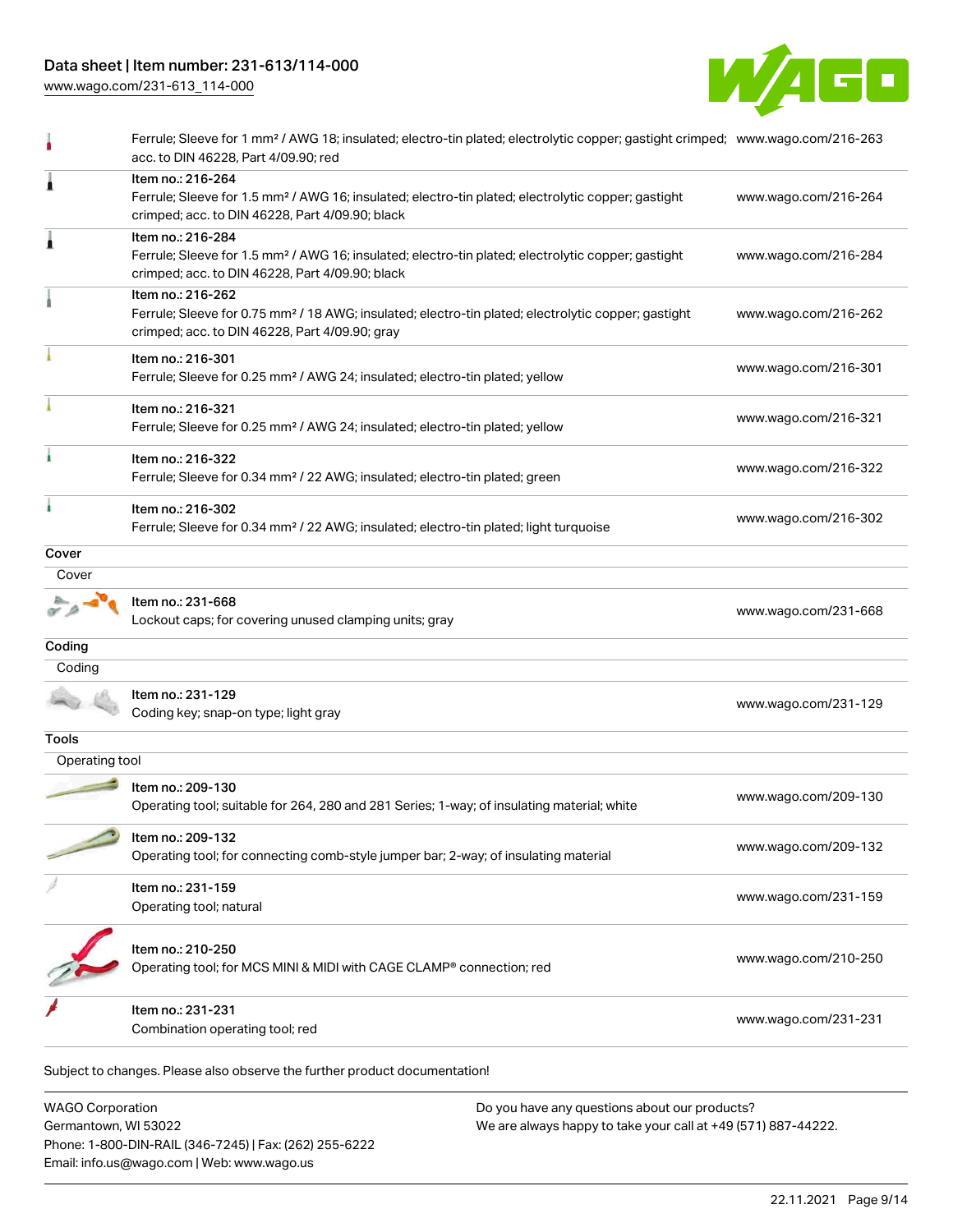[www.wago.com/231-613\\_114-000](http://www.wago.com/231-613_114-000)

Email: info.us@wago.com | Web: www.wago.us



|                         | Ferrule; Sleeve for 1 mm <sup>2</sup> / AWG 18; insulated; electro-tin plated; electrolytic copper; gastight crimped; www.wago.com/216-263<br>acc. to DIN 46228, Part 4/09.90; red     |                                                               |                      |
|-------------------------|----------------------------------------------------------------------------------------------------------------------------------------------------------------------------------------|---------------------------------------------------------------|----------------------|
|                         | Item no.: 216-264<br>Ferrule; Sleeve for 1.5 mm <sup>2</sup> / AWG 16; insulated; electro-tin plated; electrolytic copper; gastight<br>crimped; acc. to DIN 46228, Part 4/09.90; black |                                                               | www.wago.com/216-264 |
| 1                       | Item no.: 216-284<br>Ferrule; Sleeve for 1.5 mm <sup>2</sup> / AWG 16; insulated; electro-tin plated; electrolytic copper; gastight<br>crimped; acc. to DIN 46228, Part 4/09.90; black |                                                               | www.wago.com/216-284 |
|                         | Item no.: 216-262<br>Ferrule; Sleeve for 0.75 mm <sup>2</sup> / 18 AWG; insulated; electro-tin plated; electrolytic copper; gastight<br>crimped; acc. to DIN 46228, Part 4/09.90; gray |                                                               | www.wago.com/216-262 |
|                         | Item no.: 216-301<br>Ferrule; Sleeve for 0.25 mm <sup>2</sup> / AWG 24; insulated; electro-tin plated; yellow                                                                          |                                                               | www.wago.com/216-301 |
|                         | Item no.: 216-321<br>Ferrule; Sleeve for 0.25 mm <sup>2</sup> / AWG 24; insulated; electro-tin plated; yellow                                                                          |                                                               | www.wago.com/216-321 |
|                         | Item no.: 216-322<br>Ferrule; Sleeve for 0.34 mm <sup>2</sup> / 22 AWG; insulated; electro-tin plated; green                                                                           |                                                               | www.wago.com/216-322 |
|                         | Item no.: 216-302<br>Ferrule; Sleeve for 0.34 mm <sup>2</sup> / 22 AWG; insulated; electro-tin plated; light turquoise                                                                 |                                                               | www.wago.com/216-302 |
| Cover                   |                                                                                                                                                                                        |                                                               |                      |
| Cover                   |                                                                                                                                                                                        |                                                               |                      |
|                         | Item no.: 231-668<br>Lockout caps; for covering unused clamping units; gray                                                                                                            |                                                               | www.wago.com/231-668 |
| Coding                  |                                                                                                                                                                                        |                                                               |                      |
| Coding                  |                                                                                                                                                                                        |                                                               |                      |
|                         | Item no.: 231-129<br>Coding key; snap-on type; light gray                                                                                                                              |                                                               | www.wago.com/231-129 |
| Tools                   |                                                                                                                                                                                        |                                                               |                      |
| Operating tool          |                                                                                                                                                                                        |                                                               |                      |
|                         | Item no.: 209-130<br>Operating tool; suitable for 264, 280 and 281 Series; 1-way; of insulating material; white                                                                        |                                                               | www.wago.com/209-130 |
|                         | Item no.: 209-132<br>Operating tool; for connecting comb-style jumper bar; 2-way; of insulating material                                                                               |                                                               | www.wago.com/209-132 |
|                         | Item no.: 231-159<br>Operating tool; natural                                                                                                                                           |                                                               | www.wago.com/231-159 |
|                         | Item no.: 210-250<br>Operating tool; for MCS MINI & MIDI with CAGE CLAMP® connection; red                                                                                              |                                                               | www.wago.com/210-250 |
|                         | Item no.: 231-231<br>Combination operating tool; red                                                                                                                                   |                                                               | www.wago.com/231-231 |
|                         | Subject to changes. Please also observe the further product documentation!                                                                                                             |                                                               |                      |
| <b>WAGO Corporation</b> |                                                                                                                                                                                        | Do you have any questions about our products?                 |                      |
| Germantown, WI 53022    | Phone: 1-800-DIN-RAIL (346-7245)   Fax: (262) 255-6222                                                                                                                                 | We are always happy to take your call at +49 (571) 887-44222. |                      |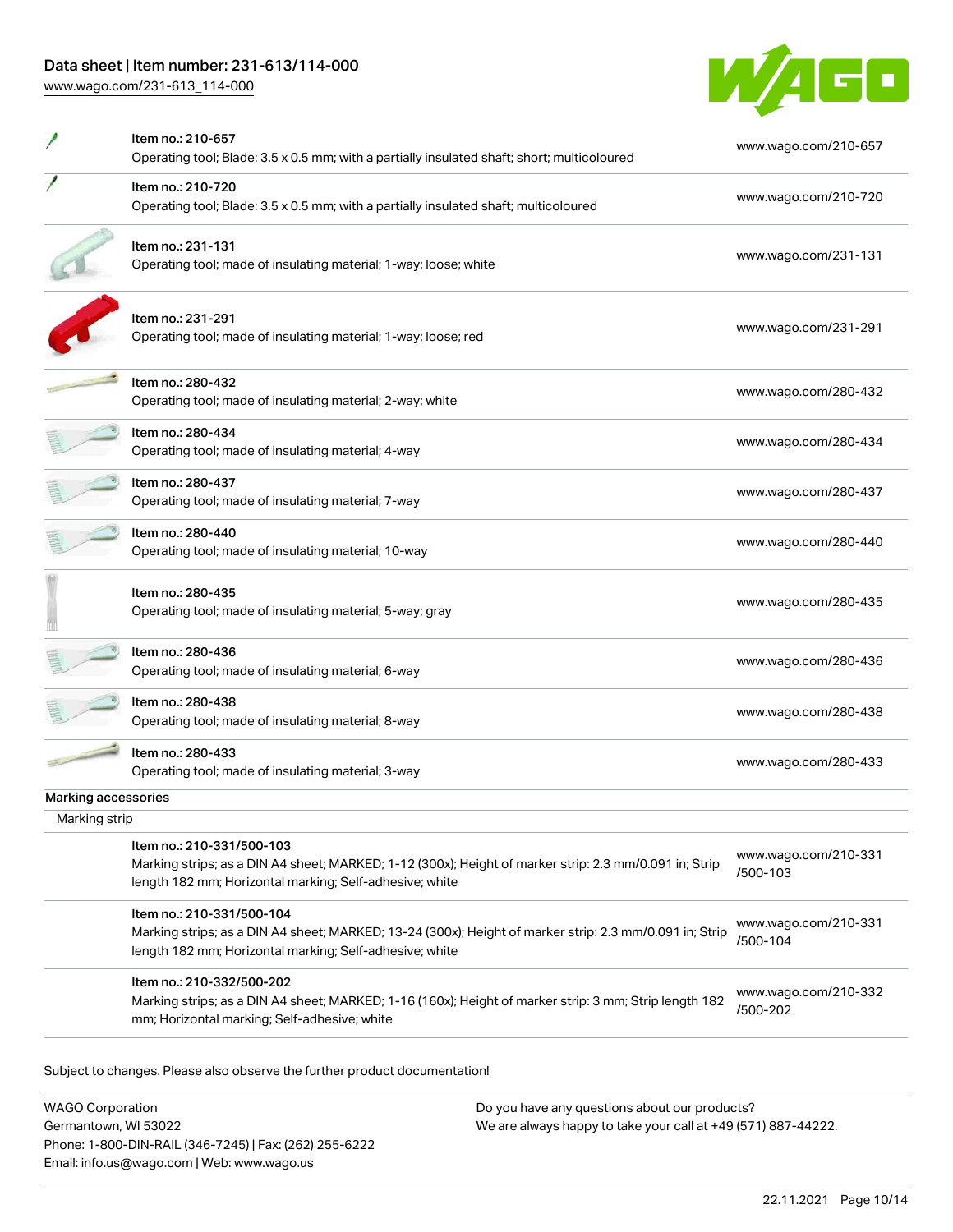[www.wago.com/231-613\\_114-000](http://www.wago.com/231-613_114-000)



|                     | Item no.: 210-657<br>Operating tool; Blade: 3.5 x 0.5 mm; with a partially insulated shaft; short; multicoloured                                                                                | www.wago.com/210-657             |
|---------------------|-------------------------------------------------------------------------------------------------------------------------------------------------------------------------------------------------|----------------------------------|
|                     | Item no.: 210-720<br>Operating tool; Blade: 3.5 x 0.5 mm; with a partially insulated shaft; multicoloured                                                                                       | www.wago.com/210-720             |
|                     | Item no.: 231-131<br>Operating tool; made of insulating material; 1-way; loose; white                                                                                                           | www.wago.com/231-131             |
|                     | Item no.: 231-291<br>Operating tool; made of insulating material; 1-way; loose; red                                                                                                             | www.wago.com/231-291             |
|                     | Item no.: 280-432<br>Operating tool; made of insulating material; 2-way; white                                                                                                                  | www.wago.com/280-432             |
|                     | Item no.: 280-434<br>Operating tool; made of insulating material; 4-way                                                                                                                         | www.wago.com/280-434             |
|                     | Item no.: 280-437<br>Operating tool; made of insulating material; 7-way                                                                                                                         | www.wago.com/280-437             |
|                     | Item no.: 280-440<br>Operating tool; made of insulating material; 10-way                                                                                                                        | www.wago.com/280-440             |
|                     | Item no.: 280-435<br>Operating tool; made of insulating material; 5-way; gray                                                                                                                   | www.wago.com/280-435             |
|                     | Item no.: 280-436<br>Operating tool; made of insulating material; 6-way                                                                                                                         | www.wago.com/280-436             |
|                     | ltem no.: 280-438<br>Operating tool; made of insulating material; 8-way                                                                                                                         | www.wago.com/280-438             |
|                     | Item no.: 280-433<br>Operating tool; made of insulating material; 3-way                                                                                                                         | www.wago.com/280-433             |
| Marking accessories |                                                                                                                                                                                                 |                                  |
| Marking strip       |                                                                                                                                                                                                 |                                  |
|                     | Item no.: 210-331/500-103<br>Marking strips; as a DIN A4 sheet; MARKED; 1-12 (300x); Height of marker strip: 2.3 mm/0.091 in; Strip<br>length 182 mm; Horizontal marking; Self-adhesive; white  | www.wago.com/210-331<br>/500-103 |
|                     | Item no.: 210-331/500-104<br>Marking strips; as a DIN A4 sheet; MARKED; 13-24 (300x); Height of marker strip: 2.3 mm/0.091 in; Strip<br>length 182 mm; Horizontal marking; Self-adhesive; white | www.wago.com/210-331<br>/500-104 |
|                     | Item no.: 210-332/500-202<br>Marking strips; as a DIN A4 sheet; MARKED; 1-16 (160x); Height of marker strip: 3 mm; Strip length 182<br>mm; Horizontal marking; Self-adhesive; white             | www.wago.com/210-332<br>/500-202 |

WAGO Corporation Germantown, WI 53022 Phone: 1-800-DIN-RAIL (346-7245) | Fax: (262) 255-6222 Email: info.us@wago.com | Web: www.wago.us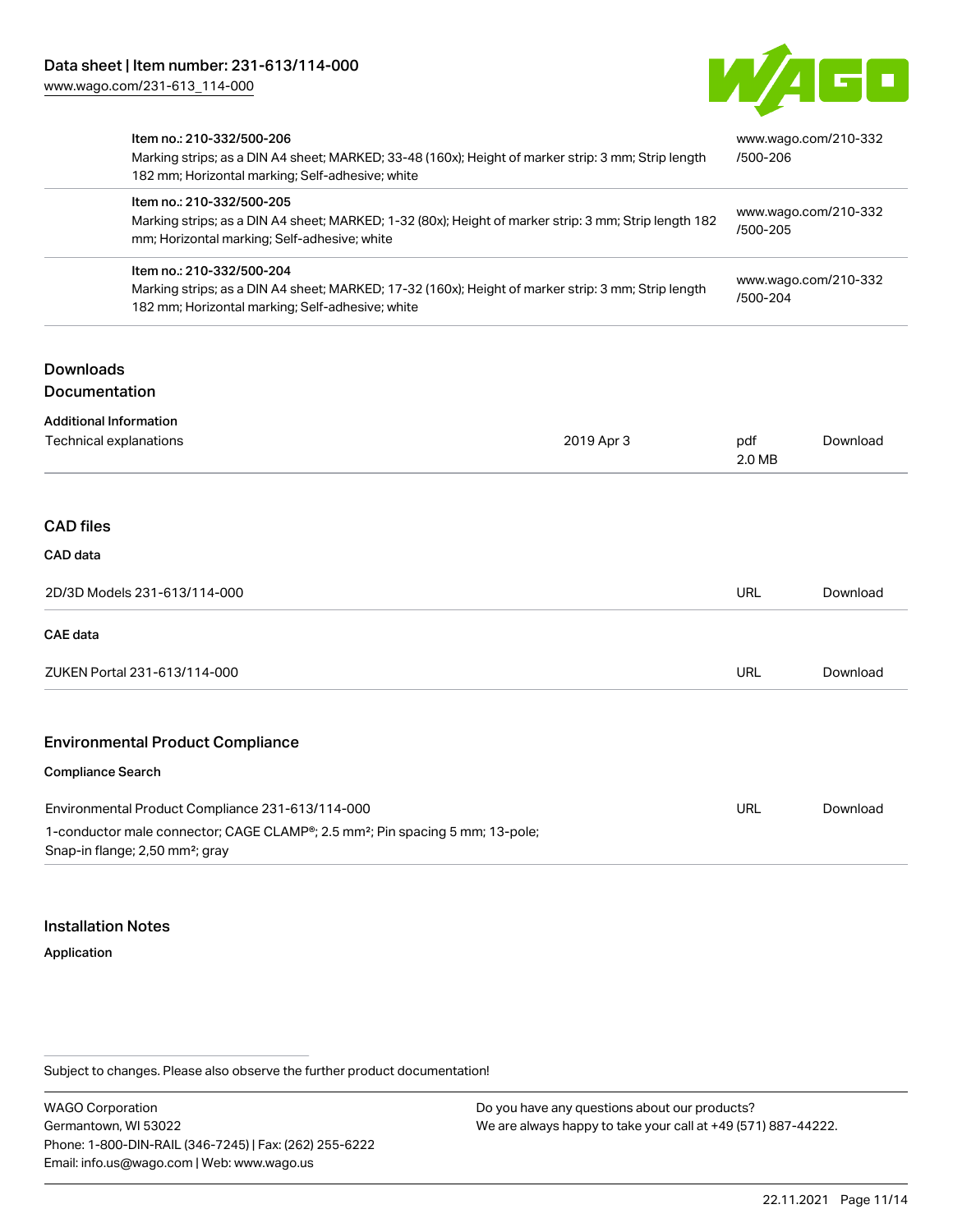

| Item no.: 210-332/500-206                                                                                                                | Marking strips; as a DIN A4 sheet; MARKED; 33-48 (160x); Height of marker strip: 3 mm; Strip length<br>182 mm; Horizontal marking; Self-adhesive; white |                                                                      | www.wago.com/210-332<br>/500-206 |  |
|------------------------------------------------------------------------------------------------------------------------------------------|---------------------------------------------------------------------------------------------------------------------------------------------------------|----------------------------------------------------------------------|----------------------------------|--|
| Item no.: 210-332/500-205<br>mm; Horizontal marking; Self-adhesive; white                                                                | Marking strips; as a DIN A4 sheet; MARKED; 1-32 (80x); Height of marker strip: 3 mm; Strip length 182                                                   | www.wago.com/210-332<br>/500-205<br>www.wago.com/210-332<br>/500-204 |                                  |  |
| Item no.: 210-332/500-204<br>182 mm; Horizontal marking; Self-adhesive; white                                                            | Marking strips; as a DIN A4 sheet; MARKED; 17-32 (160x); Height of marker strip: 3 mm; Strip length                                                     |                                                                      |                                  |  |
| <b>Downloads</b><br>Documentation                                                                                                        |                                                                                                                                                         |                                                                      |                                  |  |
|                                                                                                                                          |                                                                                                                                                         |                                                                      |                                  |  |
| <b>Additional Information</b><br>Technical explanations                                                                                  | 2019 Apr 3                                                                                                                                              | pdf<br>2.0 MB                                                        | Download                         |  |
| <b>CAD files</b><br>CAD data                                                                                                             |                                                                                                                                                         |                                                                      |                                  |  |
| 2D/3D Models 231-613/114-000                                                                                                             |                                                                                                                                                         | <b>URL</b>                                                           | Download                         |  |
| <b>CAE</b> data                                                                                                                          |                                                                                                                                                         |                                                                      |                                  |  |
| ZUKEN Portal 231-613/114-000                                                                                                             |                                                                                                                                                         | <b>URL</b>                                                           | Download                         |  |
| <b>Environmental Product Compliance</b>                                                                                                  |                                                                                                                                                         |                                                                      |                                  |  |
| <b>Compliance Search</b>                                                                                                                 |                                                                                                                                                         |                                                                      |                                  |  |
| Environmental Product Compliance 231-613/114-000                                                                                         |                                                                                                                                                         | <b>URL</b>                                                           | Download                         |  |
| 1-conductor male connector; CAGE CLAMP®; 2.5 mm <sup>2</sup> ; Pin spacing 5 mm; 13-pole;<br>Snap-in flange; 2,50 mm <sup>2</sup> ; gray |                                                                                                                                                         |                                                                      |                                  |  |

#### Installation Notes

#### Application

Subject to changes. Please also observe the further product documentation!

WAGO Corporation Germantown, WI 53022 Phone: 1-800-DIN-RAIL (346-7245) | Fax: (262) 255-6222 Email: info.us@wago.com | Web: www.wago.us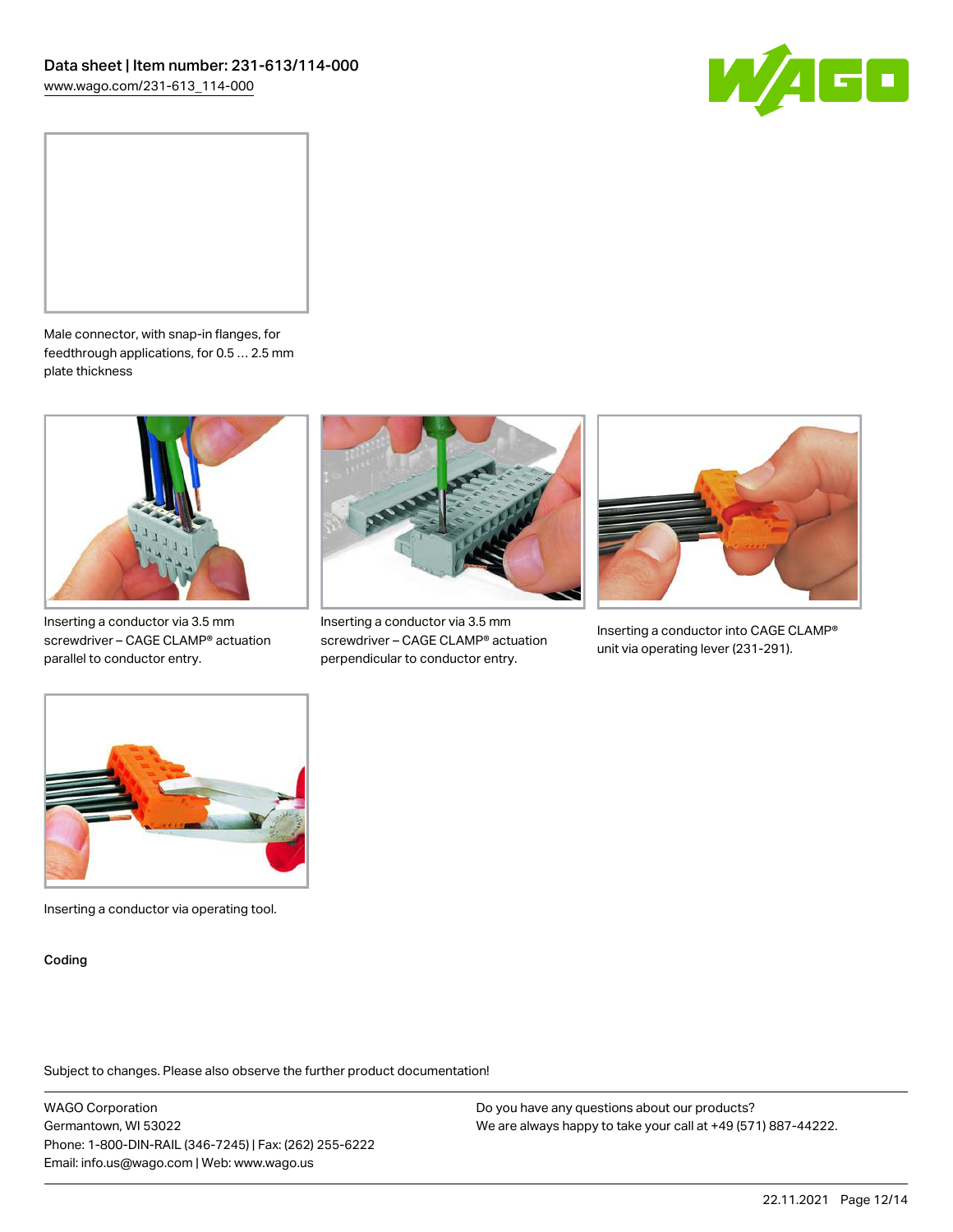



Male connector, with snap-in flanges, for feedthrough applications, for 0.5 … 2.5 mm plate thickness



Inserting a conductor via 3.5 mm screwdriver – CAGE CLAMP® actuation parallel to conductor entry.



Inserting a conductor via 3.5 mm screwdriver – CAGE CLAMP® actuation perpendicular to conductor entry.



Inserting a conductor into CAGE CLAMP® unit via operating lever (231-291).



Inserting a conductor via operating tool.

Coding

Subject to changes. Please also observe the further product documentation!

WAGO Corporation Germantown, WI 53022 Phone: 1-800-DIN-RAIL (346-7245) | Fax: (262) 255-6222 Email: info.us@wago.com | Web: www.wago.us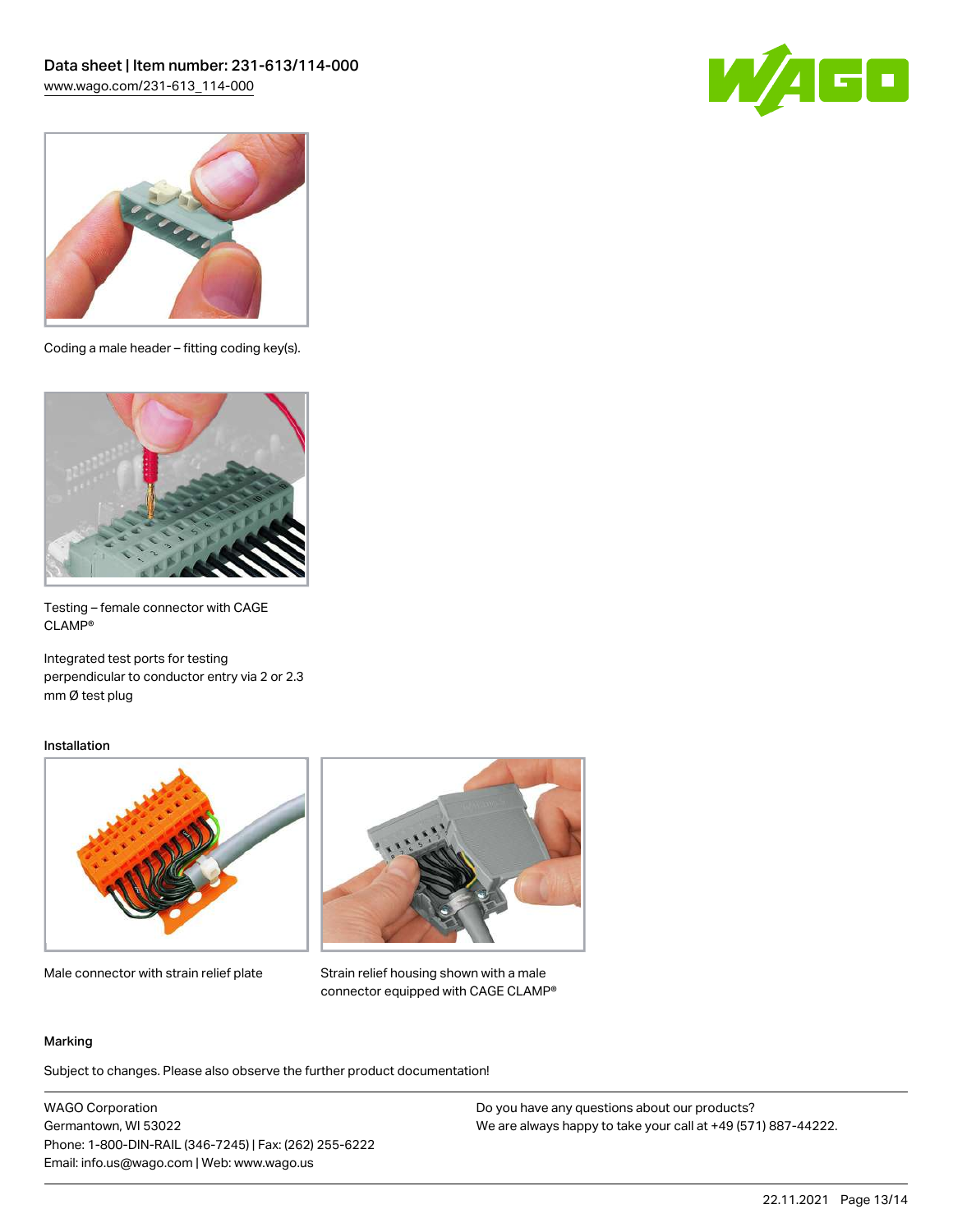



Coding a male header – fitting coding key(s).



Testing – female connector with CAGE CLAMP®

Integrated test ports for testing perpendicular to conductor entry via 2 or 2.3 mm Ø test plug

#### Installation



Male connector with strain relief plate



Strain relief housing shown with a male connector equipped with CAGE CLAMP®

#### Marking

Subject to changes. Please also observe the further product documentation!

WAGO Corporation Germantown, WI 53022 Phone: 1-800-DIN-RAIL (346-7245) | Fax: (262) 255-6222 Email: info.us@wago.com | Web: www.wago.us